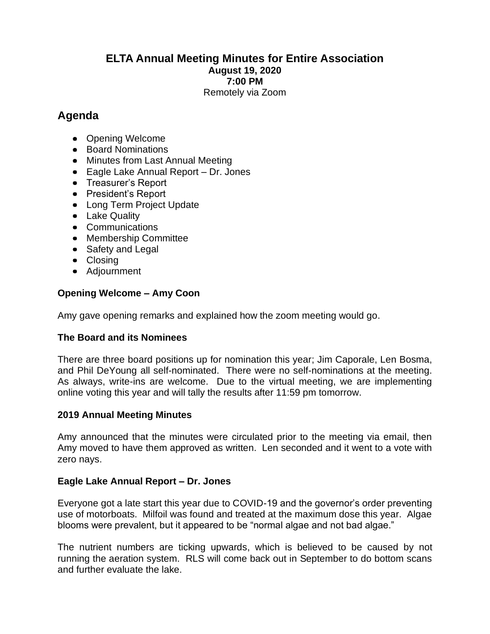### **ELTA Annual Meeting Minutes for Entire Association August 19, 2020 7:00 PM** Remotely via Zoom

# **Agenda**

- Opening Welcome
- Board Nominations
- Minutes from Last Annual Meeting
- Eagle Lake Annual Report Dr. Jones
- Treasurer's Report
- President's Report
- Long Term Project Update
- Lake Quality
- Communications
- Membership Committee
- Safety and Legal
- Closing
- Adjournment

# **Opening Welcome – Amy Coon**

Amy gave opening remarks and explained how the zoom meeting would go.

# **The Board and its Nominees**

There are three board positions up for nomination this year; Jim Caporale, Len Bosma, and Phil DeYoung all self-nominated. There were no self-nominations at the meeting. As always, write-ins are welcome. Due to the virtual meeting, we are implementing online voting this year and will tally the results after 11:59 pm tomorrow.

### **2019 Annual Meeting Minutes**

Amy announced that the minutes were circulated prior to the meeting via email, then Amy moved to have them approved as written. Len seconded and it went to a vote with zero nays.

### **Eagle Lake Annual Report – Dr. Jones**

Everyone got a late start this year due to COVID-19 and the governor's order preventing use of motorboats. Milfoil was found and treated at the maximum dose this year. Algae blooms were prevalent, but it appeared to be "normal algae and not bad algae."

The nutrient numbers are ticking upwards, which is believed to be caused by not running the aeration system. RLS will come back out in September to do bottom scans and further evaluate the lake.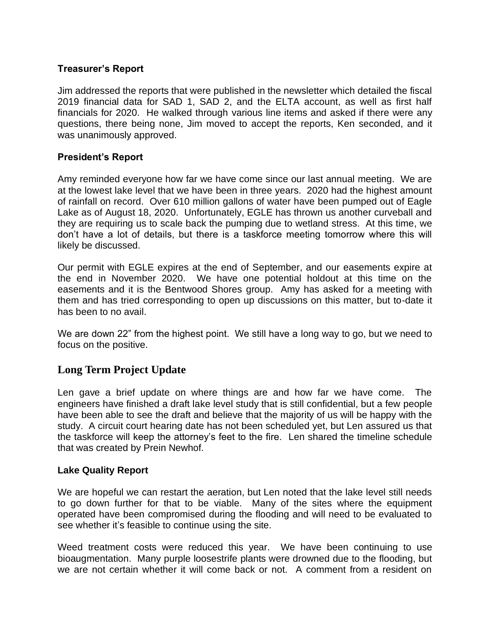### **Treasurer's Report**

Jim addressed the reports that were published in the newsletter which detailed the fiscal 2019 financial data for SAD 1, SAD 2, and the ELTA account, as well as first half financials for 2020. He walked through various line items and asked if there were any questions, there being none, Jim moved to accept the reports, Ken seconded, and it was unanimously approved.

### **President's Report**

Amy reminded everyone how far we have come since our last annual meeting. We are at the lowest lake level that we have been in three years. 2020 had the highest amount of rainfall on record. Over 610 million gallons of water have been pumped out of Eagle Lake as of August 18, 2020. Unfortunately, EGLE has thrown us another curveball and they are requiring us to scale back the pumping due to wetland stress. At this time, we don't have a lot of details, but there is a taskforce meeting tomorrow where this will likely be discussed.

Our permit with EGLE expires at the end of September, and our easements expire at the end in November 2020. We have one potential holdout at this time on the easements and it is the Bentwood Shores group. Amy has asked for a meeting with them and has tried corresponding to open up discussions on this matter, but to-date it has been to no avail.

We are down 22" from the highest point. We still have a long way to go, but we need to focus on the positive.

# **Long Term Project Update**

Len gave a brief update on where things are and how far we have come. The engineers have finished a draft lake level study that is still confidential, but a few people have been able to see the draft and believe that the majority of us will be happy with the study. A circuit court hearing date has not been scheduled yet, but Len assured us that the taskforce will keep the attorney's feet to the fire. Len shared the timeline schedule that was created by Prein Newhof.

#### **Lake Quality Report**

We are hopeful we can restart the aeration, but Len noted that the lake level still needs to go down further for that to be viable. Many of the sites where the equipment operated have been compromised during the flooding and will need to be evaluated to see whether it's feasible to continue using the site.

Weed treatment costs were reduced this year. We have been continuing to use bioaugmentation. Many purple loosestrife plants were drowned due to the flooding, but we are not certain whether it will come back or not. A comment from a resident on